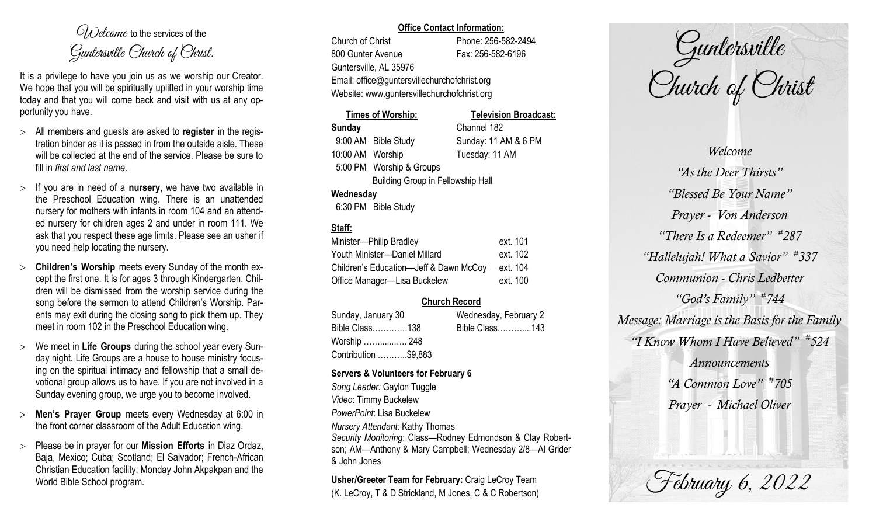$O(\lambda)$  elcame to the services of the Guntersville Church of Christ.

It is a privilege to have you join us as we worship our Creator. We hope that you will be spiritually uplifted in your worship time today and that you will come back and visit with us at any opportunity you have.

- All members and guests are asked to **register** in the registration binder as it is passed in from the outside aisle. These will be collected at the end of the service. Please be sure to fill in *first and last name*.
- $>$  If you are in need of a **nursery**, we have two available in the Preschool Education wing. There is an unattended nursery for mothers with infants in room 104 and an attended nursery for children ages 2 and under in room 111. We ask that you respect these age limits. Please see an usher if you need help locating the nursery.
- **Children's Worship** meets every Sunday of the month except the first one. It is for ages 3 through Kindergarten. Children will be dismissed from the worship service during the song before the sermon to attend Children's Worship. Parents may exit during the closing song to pick them up. They meet in room 102 in the Preschool Education wing.
- We meet in **Life Groups** during the school year every Sunday night. Life Groups are a house to house ministry focusing on the spiritual intimacy and fellowship that a small devotional group allows us to have. If you are not involved in a Sunday evening group, we urge you to become involved.
- **Men's Prayer Group** meets every Wednesday at 6:00 in the front corner classroom of the Adult Education wing.
- Please be in prayer for our **Mission Efforts** in Diaz Ordaz, Baja, Mexico; Cuba; Scotland; El Salvador; French-African Christian Education facility; Monday John Akpakpan and the World Bible School program.

#### **Office Contact Information:**

Church of Christ Phone: 256-582-2494 800 Gunter Avenue Fax: 256-582-6196 Guntersville, AL 35976 Email: office@guntersvillechurchofchrist.org Website: www.guntersvillechurchofchrist.org

## **Times of Worship: Television Broadcast: Sunday** Channel 182 9:00 AM Bible Study Sunday: 11 AM & 6 PM 10:00 AM Worship Tuesday: 11 AM 5:00 PM Worship & Groups Building Group in Fellowship Hall **Wednesday**

6:30 PM Bible Study

# **Staff:**

| Minister-Philip Bradley                | ext. 101 |
|----------------------------------------|----------|
| Youth Minister-Daniel Millard          | ext. 102 |
| Children's Education-Jeff & Dawn McCoy | ext. 104 |
| Office Manager-Lisa Buckelew           | ext. 100 |

## **Church Record**

| Sunday, January 30   |  |                | Wednesday, February 2 |  |
|----------------------|--|----------------|-----------------------|--|
| Bible Class138       |  | Bible Class143 |                       |  |
| Worship  248         |  |                |                       |  |
| Contribution \$9,883 |  |                |                       |  |

#### **Servers & Volunteers for February 6**

*Song Leader:* Gaylon Tuggle *Video*: Timmy Buckelew *PowerPoint*: Lisa Buckelew *Nursery Attendant:* Kathy Thomas *Security Monitoring*: Class—Rodney Edmondson & Clay Robertson; AM—Anthony & Mary Campbell; Wednesday 2/8—Al Grider & John Jones

**Usher/Greeter Team for February:** Craig LeCroy Team (K. LeCroy, T & D Strickland, M Jones, C & C Robertson)

Guntersville Church of Christ

*Welcome "As the Deer Thirsts" "Blessed Be Your Name" Prayer - Von Anderson "There Is a Redeemer" # 287 "Hallelujah! What a Savior" # 337 Communion - Chris Ledbetter "God's Family" # 744 Message: Marriage is the Basis for the Family "I Know Whom I Have Believed" # 524 Announcements "A Common Love" # 705 Prayer - Michael Oliver*

February 6, 2022